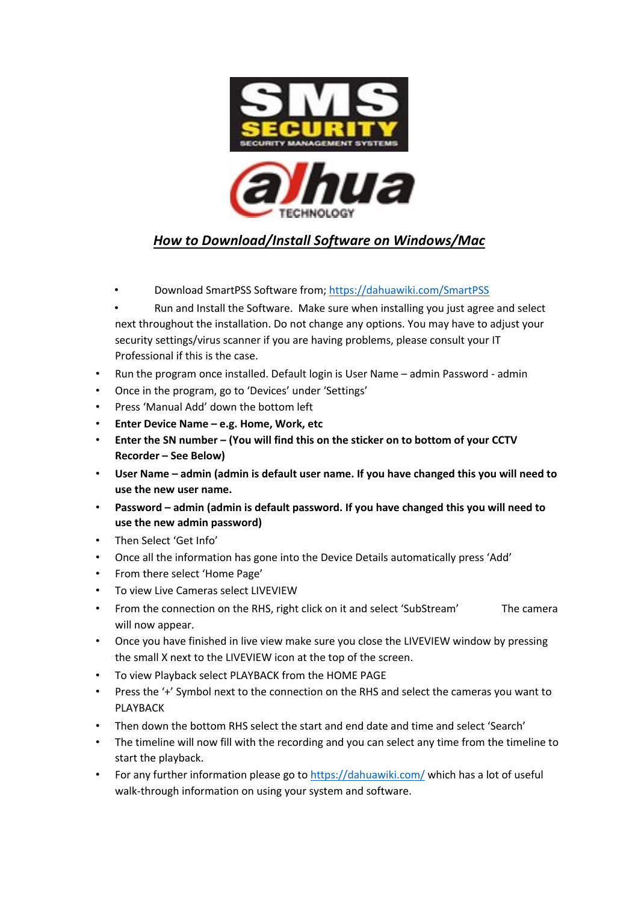

## *How to Download/Install Software on Windows/Mac*

- Download SmartPSS Software from; https://dahuawiki.com/SmartPSS
- Run and Install the Software. Make sure when installing you just agree and select next throughout the installation. Do not change any options. You may have to adjust your security settings/virus scanner if you are having problems, please consult your IT Professional if this is the case.
- Run the program once installed. Default login is User Name admin Password admin
- Once in the program, go to 'Devices' under 'Settings'
- Press 'Manual Add' down the bottom left
- **Enter Device Name – e.g. Home, Work, etc**
- **Enter the SN number – (You will find this on the sticker on to bottom of your CCTV Recorder – See Below)**
- **User Name – admin (admin is default user name. If you have changed this you will need to use the new user name.**
- **Password – admin (admin is default password. If you have changed this you will need to use the new admin password)**
- Then Select 'Get Info'
- Once all the information has gone into the Device Details automatically press 'Add'
- From there select 'Home Page'
- To view Live Cameras select LIVEVIEW
- From the connection on the RHS, right click on it and select 'SubStream' The camera will now appear.
- Once you have finished in live view make sure you close the LIVEVIEW window by pressing the small X next to the LIVEVIEW icon at the top of the screen.
- To view Playback select PLAYBACK from the HOME PAGE
- Press the '+' Symbol next to the connection on the RHS and select the cameras you want to PLAYBACK
- Then down the bottom RHS select the start and end date and time and select 'Search'
- The timeline will now fill with the recording and you can select any time from the timeline to start the playback.
- For any further information please go to https://dahuawiki.com/ which has a lot of useful walk-through information on using your system and software.